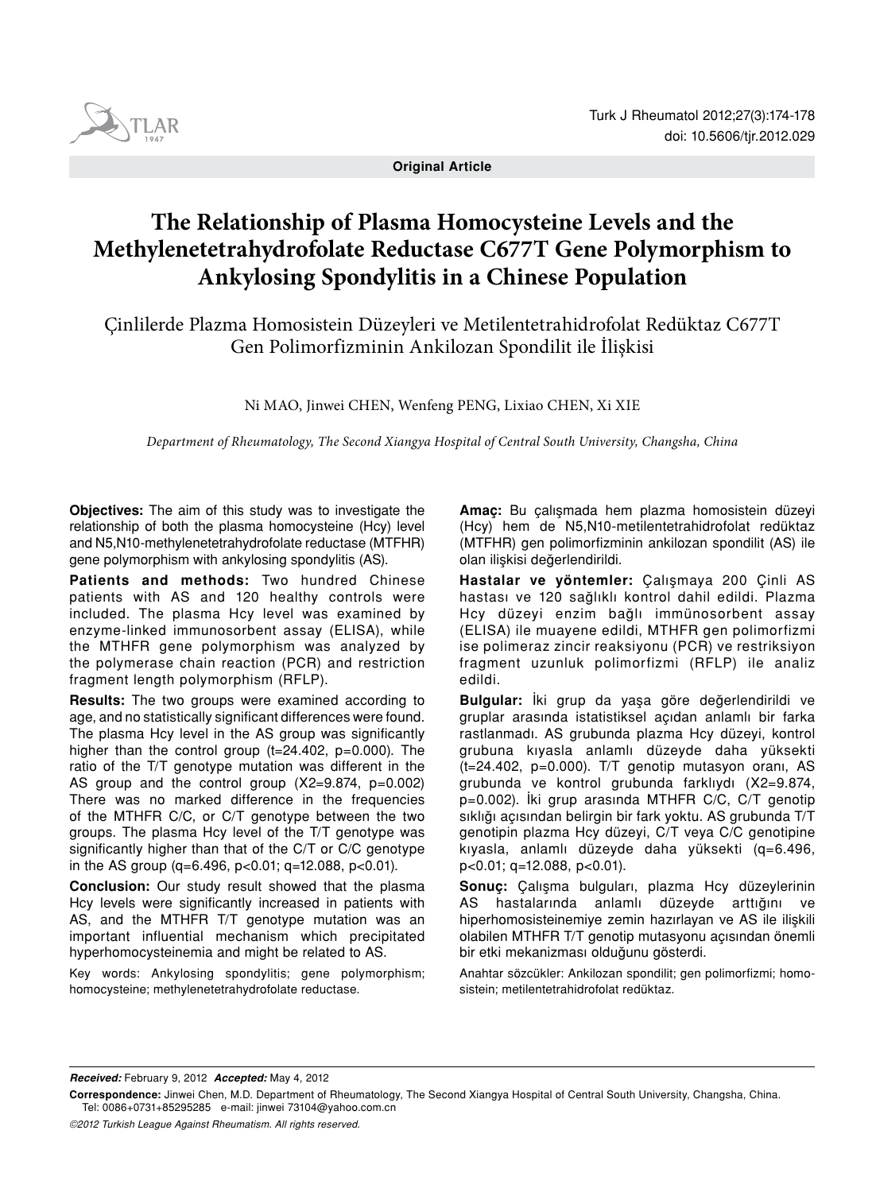

**Original Article** 

# **The Relationship of Plasma Homocysteine Levels and the Methylenetetrahydrofolate Reductase C677T Gene Polymorphism to Ankylosing Spondylitis in a Chinese Population**

Çinlilerde Plazma Homosistein Düzeyleri ve Metilentetrahidrofolat Redüktaz C677T Gen Polimorfizminin Ankilozan Spondilit ile İlişkisi

Ni MAO, Jinwei CHEN, Wenfeng PENG, Lixiao CHEN, Xi XIE

*Department of Rheumatology, The Second Xiangya Hospital of Central South University, Changsha, China*

**Objectives:** The aim of this study was to investigate the relationship of both the plasma homocysteine (Hcy) level and N5,N10-methylenetetrahydrofolate reductase (MTFHR) gene polymorphism with ankylosing spondylitis (AS).

**Patients and methods:** Two hundred Chinese patients with AS and 120 healthy controls were included. The plasma Hcy level was examined by enzyme-linked immunosorbent assay (ELISA), while the MTHFR gene polymorphism was analyzed by the polymerase chain reaction (PCR) and restriction fragment length polymorphism (RFLP).

**Results:** The two groups were examined according to age, and no statistically significant differences were found. The plasma Hcy level in the AS group was significantly higher than the control group (t=24.402, p=0.000). The ratio of the T/T genotype mutation was different in the AS group and the control group (X2=9.874, p=0.002) There was no marked difference in the frequencies of the MTHFR C/C, or C/T genotype between the two groups. The plasma Hcy level of the T/T genotype was significantly higher than that of the C/T or C/C genotype in the AS group (q=6.496, p<0.01; q=12.088, p<0.01).

**Conclusion:** Our study result showed that the plasma Hcy levels were significantly increased in patients with AS, and the MTHFR T/T genotype mutation was an important influential mechanism which precipitated hyperhomocysteinemia and might be related to AS.

Key words: Ankylosing spondylitis; gene polymorphism; homocysteine; methylenetetrahydrofolate reductase.

**Amaç:** Bu çalışmada hem plazma homosistein düzeyi (Hcy) hem de N5,N10-metilentetrahidrofolat redüktaz (MTFHR) gen polimorfizminin ankilozan spondilit (AS) ile olan ilişkisi değerlendirildi.

**Hastalar ve yöntemler:** Çalışmaya 200 Çinli AS hastası ve 120 sağlıklı kontrol dahil edildi. Plazma Hcy düzeyi enzim bağlı immünosorbent assay (ELISA) ile muayene edildi, MTHFR gen polimorfizmi ise polimeraz zincir reaksiyonu (PCR) ve restriksiyon fragment uzunluk polimorfizmi (RFLP) ile analiz edildi.

**Bulgular:** İki grup da yaşa göre değerlendirildi ve gruplar arasında istatistiksel açıdan anlamlı bir farka rastlanmadı. AS grubunda plazma Hcy düzeyi, kontrol grubuna kıyasla anlamlı düzeyde daha yüksekti (t=24.402, p=0.000). T/T genotip mutasyon oranı, AS grubunda ve kontrol grubunda farklıydı (X2=9.874, p=0.002). İki grup arasında MTHFR C/C, C/T genotip sıklığı açısından belirgin bir fark yoktu. AS grubunda T/T genotipin plazma Hcy düzeyi, C/T veya C/C genotipine kıyasla, anlamlı düzeyde daha yüksekti (q=6.496, p<0.01; q=12.088, p<0.01).

**Sonuç:** Çalışma bulguları, plazma Hcy düzeylerinin AS hastalarında anlamlı düzeyde arttığını ve hiperhomosisteinemiye zemin hazırlayan ve AS ile ilişkili olabilen MTHFR T/T genotip mutasyonu açısından önemli bir etki mekanizması olduğunu gösterdi.

Anahtar sözcükler: Ankilozan spondilit; gen polimorfizmi; homosistein; metilentetrahidrofolat redüktaz.

*Received:* February 9, 2012 *Accepted:* May 4, 2012

**Correspondence:** Jinwei Chen, M.D. Department of Rheumatology, The Second Xiangya Hospital of Central South University, Changsha, China. Tel: 0086+0731+85295285 e-mail: jinwei 73104@yahoo.com.cn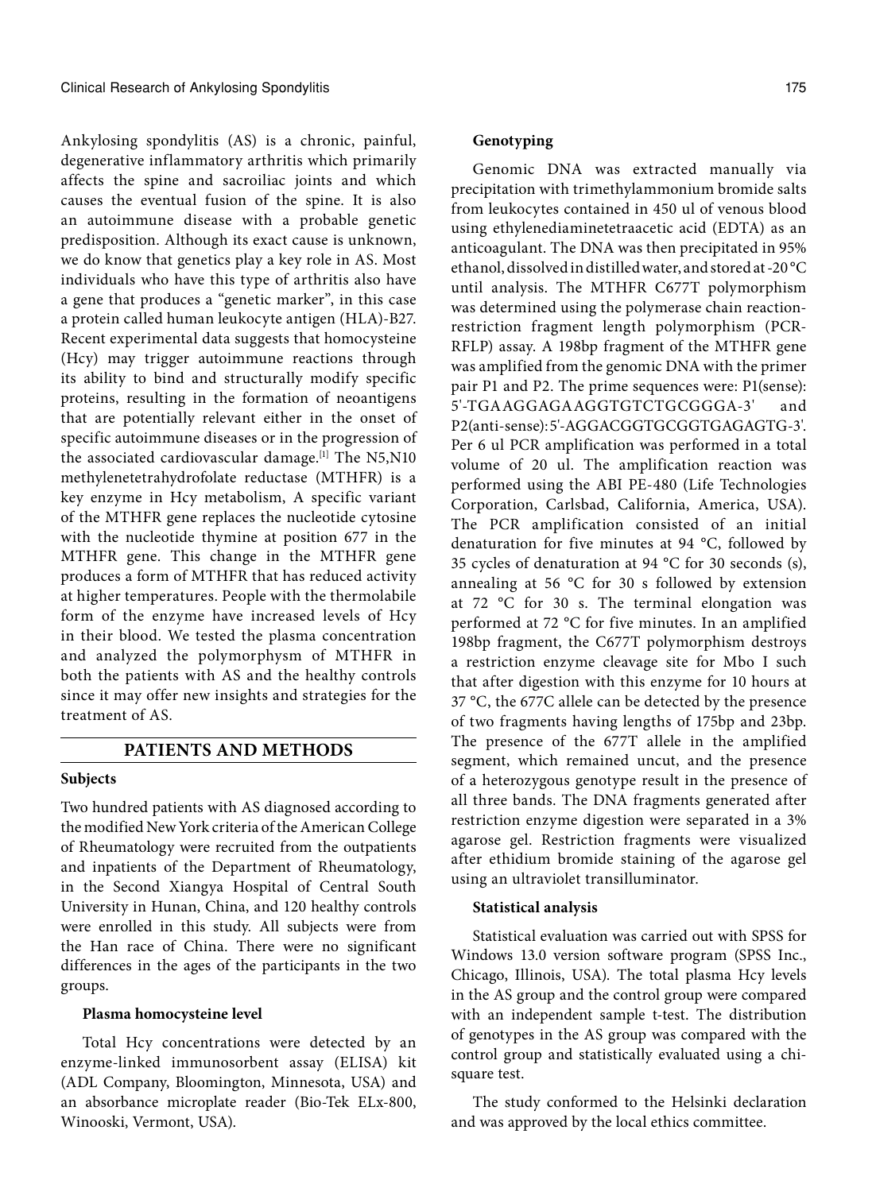Ankylosing spondylitis (AS) is a chronic, painful, degenerative inflammatory arthritis which primarily affects the spine and sacroiliac joints and which causes the eventual fusion of the spine. It is also an autoimmune disease with a probable genetic predisposition. Although its exact cause is unknown, we do know that genetics play a key role in AS. Most individuals who have this type of arthritis also have a gene that produces a "genetic marker", in this case a protein called human leukocyte antigen (HLA)-B27. Recent experimental data suggests that homocysteine (Hcy) may trigger autoimmune reactions through its ability to bind and structurally modify specific proteins, resulting in the formation of neoantigens that are potentially relevant either in the onset of specific autoimmune diseases or in the progression of the associated cardiovascular damage.<sup>[1]</sup> The N5,N10 methylenetetrahydrofolate reductase (MTHFR) is a key enzyme in Hcy metabolism, A specific variant of the MTHFR gene replaces the nucleotide cytosine with the nucleotide thymine at position 677 in the MTHFR gene. This change in the MTHFR gene produces a form of MTHFR that has reduced activity at higher temperatures. People with the thermolabile form of the enzyme have increased levels of Hcy in their blood. We tested the plasma concentration and analyzed the polymorphysm of MTHFR in both the patients with AS and the healthy controls since it may offer new insights and strategies for the treatment of AS.

## **PATIENTS AND METHODS**

## **Subjects**

Two hundred patients with AS diagnosed according to the modified New York criteria of the American College of Rheumatology were recruited from the outpatients and inpatients of the Department of Rheumatology, in the Second Xiangya Hospital of Central South University in Hunan, China, and 120 healthy controls were enrolled in this study. All subjects were from the Han race of China. There were no significant differences in the ages of the participants in the two groups.

## **Plasma homocysteine level**

Total Hcy concentrations were detected by an enzyme-linked immunosorbent assay (ELISA) kit (ADL Company, Bloomington, Minnesota, USA) and an absorbance microplate reader (Bio-Tek ELx-800, Winooski, Vermont, USA).

## **Genotyping**

Genomic DNA was extracted manually via precipitation with trimethylammonium bromide salts from leukocytes contained in 450 ul of venous blood using ethylenediaminetetraacetic acid (EDTA) as an anticoagulant. The DNA was then precipitated in 95% ethanol, dissolved in distilled water, and stored at -20 °C until analysis. The MTHFR C677T polymorphism was determined using the polymerase chain reactionrestriction fragment length polymorphism (PCR-RFLP) assay. A 198bp fragment of the MTHFR gene was amplified from the genomic DNA with the primer pair P1 and P2. The prime sequences were: P1(sense): 5'-TGAAGGAGAAGGTGTCTGCGGGA-3' and P2(anti-sense): 5'-AGGACGGTGCGGTGAGAGTG-3'. Per 6 ul PCR amplification was performed in a total volume of 20 ul. The amplification reaction was performed using the ABI PE-480 (Life Technologies Corporation, Carlsbad, California, America, USA). The PCR amplification consisted of an initial denaturation for five minutes at 94 °C, followed by 35 cycles of denaturation at 94 °C for 30 seconds (s), annealing at 56 °C for 30 s followed by extension at 72 °C for 30 s. The terminal elongation was performed at 72 °C for five minutes. In an amplified 198bp fragment, the C677T polymorphism destroys a restriction enzyme cleavage site for Mbo I such that after digestion with this enzyme for 10 hours at 37 °C, the 677C allele can be detected by the presence of two fragments having lengths of 175bp and 23bp. The presence of the 677T allele in the amplified segment, which remained uncut, and the presence of a heterozygous genotype result in the presence of all three bands. The DNA fragments generated after restriction enzyme digestion were separated in a 3% agarose gel. Restriction fragments were visualized after ethidium bromide staining of the agarose gel using an ultraviolet transilluminator.

#### **Statistical analysis**

Statistical evaluation was carried out with SPSS for Windows 13.0 version software program (SPSS Inc., Chicago, Illinois, USA). The total plasma Hcy levels in the AS group and the control group were compared with an independent sample t-test. The distribution of genotypes in the AS group was compared with the control group and statistically evaluated using a chisquare test.

The study conformed to the Helsinki declaration and was approved by the local ethics committee.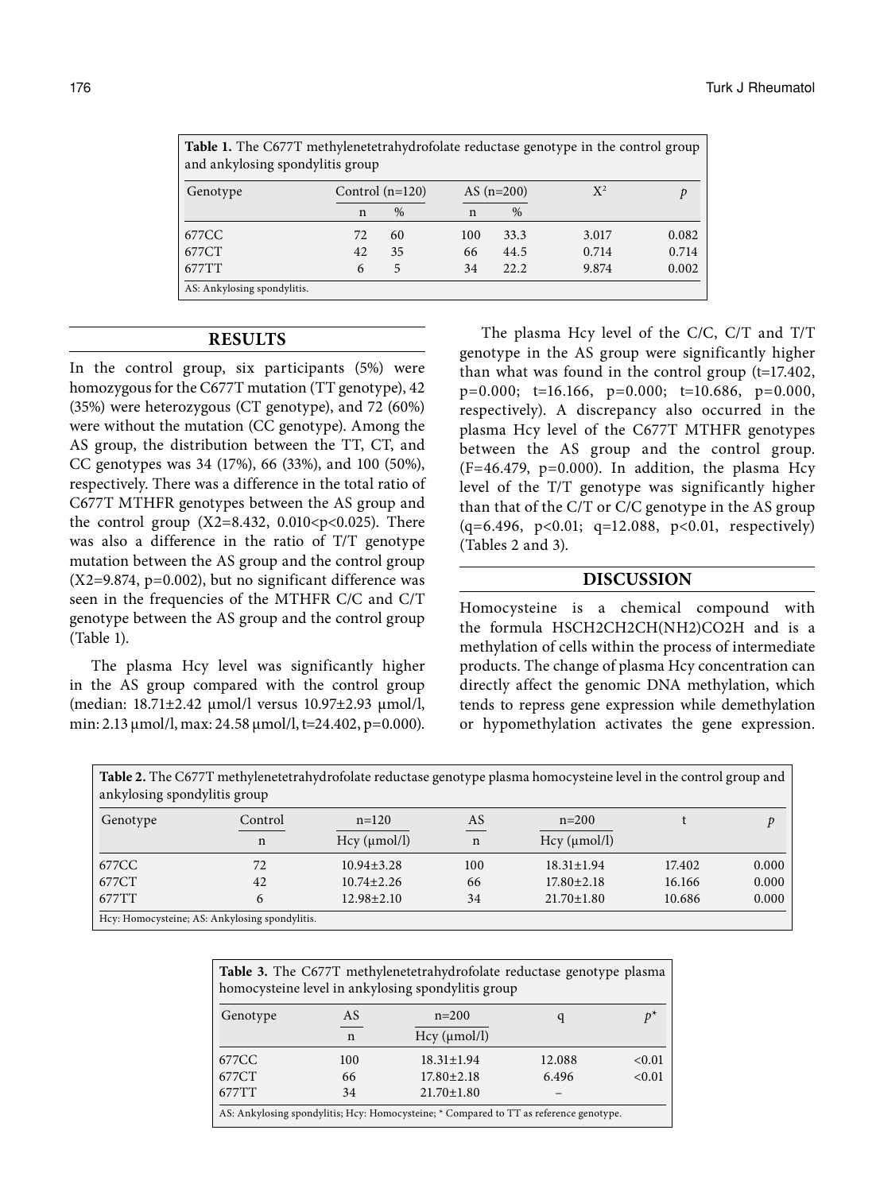| <b>Table 1.</b> The C677T methylenetetrahydrofolate reductase genotype in the control group<br>and ankylosing spondylitis group |     |                   |              |               |       |       |
|---------------------------------------------------------------------------------------------------------------------------------|-----|-------------------|--------------|---------------|-------|-------|
| Genotype                                                                                                                        |     | Control $(n=120)$ | AS $(n=200)$ |               | $X^2$ |       |
|                                                                                                                                 | n   | $\%$              | n            | $\frac{0}{0}$ |       |       |
| 677CC                                                                                                                           | 72. | 60                | 100          | 33.3          | 3.017 | 0.082 |
| 677CT                                                                                                                           | 42. | 35                | 66           | 44.5          | 0.714 | 0.714 |
| 677TT                                                                                                                           | 6   | 5                 | 34           | 22.2.         | 9.874 | 0.002 |
| AS: Ankylosing spondylitis.                                                                                                     |     |                   |              |               |       |       |

## **RESULTS**

In the control group, six participants (5%) were homozygous for the C677T mutation (TT genotype), 42 (35%) were heterozygous (CT genotype), and 72 (60%) were without the mutation (CC genotype). Among the AS group, the distribution between the TT, CT, and CC genotypes was 34 (17%), 66 (33%), and 100 (50%), respectively. There was a difference in the total ratio of C677T MTHFR genotypes between the AS group and the control group (X2=8.432, 0.010<p<0.025). There was also a difference in the ratio of T/T genotype mutation between the AS group and the control group (X2=9.874, p=0.002), but no significant difference was seen in the frequencies of the MTHFR C/C and C/T genotype between the AS group and the control group (Table 1).

The plasma Hcy level was significantly higher in the AS group compared with the control group (median: 18.71±2.42 μmol/l versus 10.97±2.93 μmol/l, min: 2.13 μmol/l, max: 24.58 μmol/l, t=24.402, p=0.000).

The plasma Hcy level of the C/C, C/T and T/T genotype in the AS group were significantly higher than what was found in the control group  $(t=17.402,$ p=0.000; t=16.166, p=0.000; t=10.686, p=0.000, respectively). A discrepancy also occurred in the plasma Hcy level of the C677T MTHFR genotypes between the AS group and the control group.  $(F=46.479, p=0.000)$ . In addition, the plasma Hcy level of the T/T genotype was significantly higher than that of the C/T or C/C genotype in the AS group (q=6.496, p<0.01; q=12.088, p<0.01, respectively) (Tables 2 and 3).

# **DISCUSSION**

Homocysteine is a chemical compound with the formula HSCH2CH2CH(NH2)CO2H and is a methylation of cells within the process of intermediate products. The change of plasma Hcy concentration can directly affect the genomic DNA methylation, which tends to repress gene expression while demethylation or hypomethylation activates the gene expression.

| <b>Table 2.</b> The C677T methylenetetrahydrofolate reductase genotype plasma homocysteine level in the control group and<br>ankylosing spondylitis group |                                                |                  |             |                  |        |       |  |
|-----------------------------------------------------------------------------------------------------------------------------------------------------------|------------------------------------------------|------------------|-------------|------------------|--------|-------|--|
| Genotype                                                                                                                                                  | Control                                        | $n=120$          | AS          | $n=200$          |        | D     |  |
|                                                                                                                                                           | $\mathbf n$                                    | Hcy (µmol/l)     | $\mathbf n$ | Hcy (µmol/l)     |        |       |  |
| 677CC                                                                                                                                                     | 72                                             | $10.94 \pm 3.28$ | 100         | $18.31 \pm 1.94$ | 17.402 | 0.000 |  |
| 677CT                                                                                                                                                     | 42                                             | $10.74 \pm 2.26$ | 66          | $17.80 \pm 2.18$ | 16.166 | 0.000 |  |
| 677TT                                                                                                                                                     | 6                                              | $12.98 \pm 2.10$ | 34          | $21.70 \pm 1.80$ | 10.686 | 0.000 |  |
|                                                                                                                                                           | Hcy: Homocysteine; AS: Ankylosing spondylitis. |                  |             |                  |        |       |  |

| Table 3. The C677T methylenetetrahydrofolate reductase genotype plasma<br>homocysteine level in ankylosing spondylitis group |             |                  |        |                 |  |  |
|------------------------------------------------------------------------------------------------------------------------------|-------------|------------------|--------|-----------------|--|--|
| Genotype                                                                                                                     | AS          | $n=200$          |        | $\mathcal{D}^*$ |  |  |
|                                                                                                                              | $\mathbf n$ | Hcy (µmol/l)     |        |                 |  |  |
| 677CC                                                                                                                        | 100         | $18.31 \pm 1.94$ | 12.088 | < 0.01          |  |  |
| 677CT                                                                                                                        | 66          | $17.80 \pm 2.18$ | 6.496  | < 0.01          |  |  |
| 677TT                                                                                                                        | 34          | $21.70 \pm 1.80$ |        |                 |  |  |
| AS: Ankylosing spondylitis; Hcy: Homocysteine; * Compared to TT as reference genotype.                                       |             |                  |        |                 |  |  |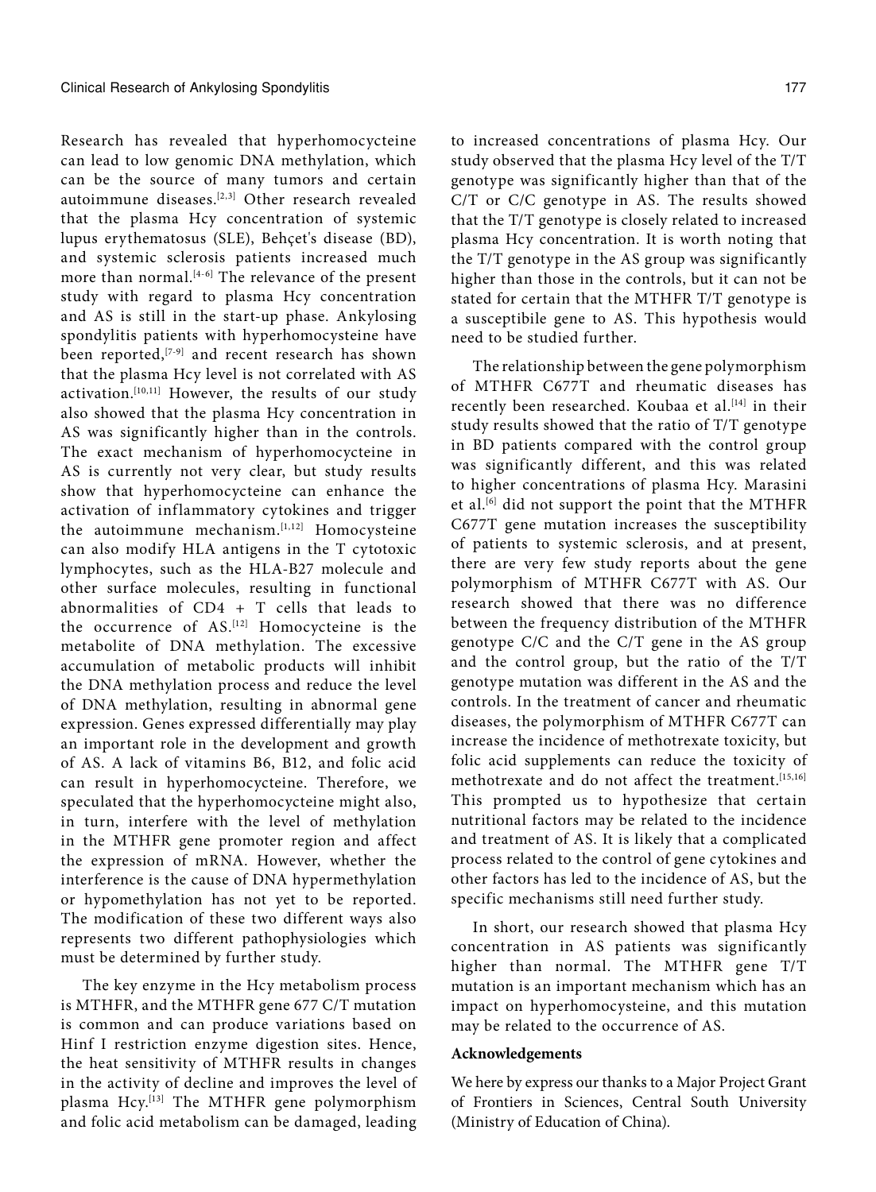Research has revealed that hyperhomocycteine can lead to low genomic DNA methylation, which can be the source of many tumors and certain autoimmune diseases.<sup>[2,3]</sup> Other research revealed that the plasma Hcy concentration of systemic lupus erythematosus (SLE), Behçet's disease (BD), and systemic sclerosis patients increased much more than normal. $[4-6]$  The relevance of the present study with regard to plasma Hcy concentration and AS is still in the start-up phase. Ankylosing spondylitis patients with hyperhomocysteine have been reported,  $[7-9]$  and recent research has shown that the plasma Hcy level is not correlated with AS activation.[10,11] However, the results of our study also showed that the plasma Hcy concentration in AS was significantly higher than in the controls. The exact mechanism of hyperhomocycteine in AS is currently not very clear, but study results show that hyperhomocycteine can enhance the activation of inflammatory cytokines and trigger the autoimmune mechanism.<sup>[1,12]</sup> Homocysteine can also modify HLA antigens in the T cytotoxic lymphocytes, such as the HLA-B27 molecule and other surface molecules, resulting in functional abnormalities of CD4 + T cells that leads to the occurrence of AS.[12] Homocycteine is the metabolite of DNA methylation. The excessive accumulation of metabolic products will inhibit the DNA methylation process and reduce the level of DNA methylation, resulting in abnormal gene expression. Genes expressed differentially may play an important role in the development and growth of AS. A lack of vitamins B6, B12, and folic acid can result in hyperhomocycteine. Therefore, we speculated that the hyperhomocycteine might also, in turn, interfere with the level of methylation in the MTHFR gene promoter region and affect the expression of mRNA. However, whether the interference is the cause of DNA hypermethylation or hypomethylation has not yet to be reported. The modification of these two different ways also represents two different pathophysiologies which must be determined by further study.

The key enzyme in the Hcy metabolism process is MTHFR, and the MTHFR gene 677 C/T mutation is common and can produce variations based on Hinf I restriction enzyme digestion sites. Hence, the heat sensitivity of MTHFR results in changes in the activity of decline and improves the level of plasma Hcy.[13] The MTHFR gene polymorphism and folic acid metabolism can be damaged, leading

to increased concentrations of plasma Hcy. Our study observed that the plasma Hcy level of the T/T genotype was significantly higher than that of the C/T or C/C genotype in AS. The results showed that the T/T genotype is closely related to increased plasma Hcy concentration. It is worth noting that the T/T genotype in the AS group was significantly higher than those in the controls, but it can not be stated for certain that the MTHFR T/T genotype is a susceptibile gene to AS. This hypothesis would need to be studied further.

The relationship between the gene polymorphism of MTHFR C677T and rheumatic diseases has recently been researched. Koubaa et al.<sup>[14]</sup> in their study results showed that the ratio of T/T genotype in BD patients compared with the control group was significantly different, and this was related to higher concentrations of plasma Hcy. Marasini et al.<sup>[6]</sup> did not support the point that the MTHFR C677T gene mutation increases the susceptibility of patients to systemic sclerosis, and at present, there are very few study reports about the gene polymorphism of MTHFR C677T with AS. Our research showed that there was no difference between the frequency distribution of the MTHFR genotype C/C and the C/T gene in the AS group and the control group, but the ratio of the T/T genotype mutation was different in the AS and the controls. In the treatment of cancer and rheumatic diseases, the polymorphism of MTHFR C677T can increase the incidence of methotrexate toxicity, but folic acid supplements can reduce the toxicity of methotrexate and do not affect the treatment.[15,16] This prompted us to hypothesize that certain nutritional factors may be related to the incidence and treatment of AS. It is likely that a complicated process related to the control of gene cytokines and other factors has led to the incidence of AS, but the specific mechanisms still need further study.

In short, our research showed that plasma Hcy concentration in AS patients was significantly higher than normal. The MTHFR gene T/T mutation is an important mechanism which has an impact on hyperhomocysteine, and this mutation may be related to the occurrence of AS.

#### **Acknowledgements**

We here by express our thanks to a Major Project Grant of Frontiers in Sciences, Central South University (Ministry of Education of China).